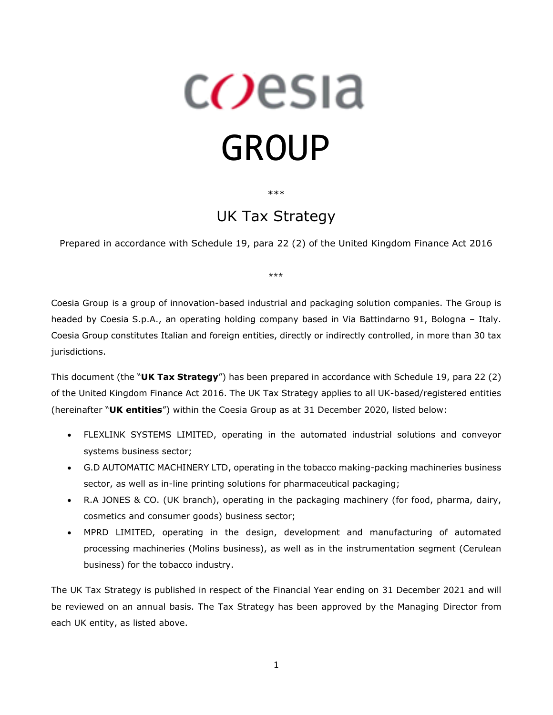# c*O*esia GROUP

\*\*\*

## UK Tax Strategy

Prepared in accordance with Schedule 19, para 22 (2) of the United Kingdom Finance Act 2016

\*\*\*

Coesia Group is a group of innovation-based industrial and packaging solution companies. The Group is headed by Coesia S.p.A., an operating holding company based in Via Battindarno 91, Bologna – Italy. Coesia Group constitutes Italian and foreign entities, directly or indirectly controlled, in more than 30 tax jurisdictions.

This document (the "**UK Tax Strategy**") has been prepared in accordance with Schedule 19, para 22 (2) of the United Kingdom Finance Act 2016. The UK Tax Strategy applies to all UK-based/registered entities (hereinafter "**UK entities**") within the Coesia Group as at 31 December 2020, listed below:

- FLEXLINK SYSTEMS LIMITED, operating in the automated industrial solutions and conveyor systems business sector;
- G.D AUTOMATIC MACHINERY LTD, operating in the tobacco making-packing machineries business sector, as well as in-line printing solutions for pharmaceutical packaging;
- R.A JONES & CO. (UK branch), operating in the packaging machinery (for food, pharma, dairy, cosmetics and consumer goods) business sector;
- MPRD LIMITED, operating in the design, development and manufacturing of automated processing machineries (Molins business), as well as in the instrumentation segment (Cerulean business) for the tobacco industry.

The UK Tax Strategy is published in respect of the Financial Year ending on 31 December 2021 and will be reviewed on an annual basis. The Tax Strategy has been approved by the Managing Director from each UK entity, as listed above.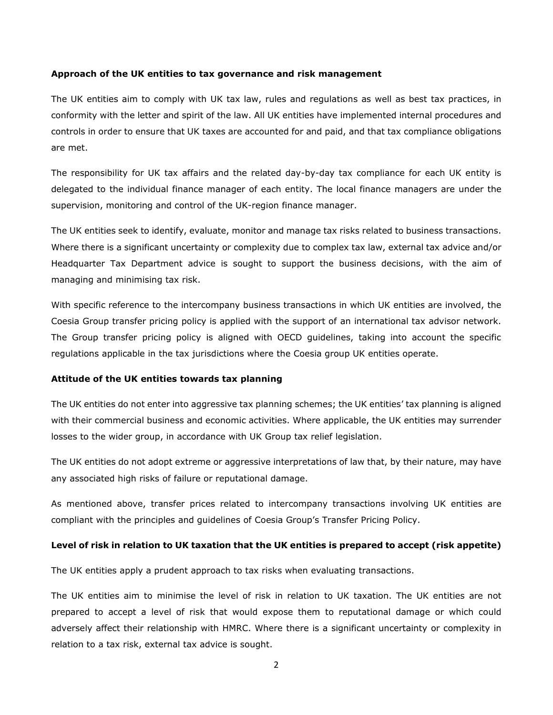#### **Approach of the UK entities to tax governance and risk management**

The UK entities aim to comply with UK tax law, rules and regulations as well as best tax practices, in conformity with the letter and spirit of the law. All UK entities have implemented internal procedures and controls in order to ensure that UK taxes are accounted for and paid, and that tax compliance obligations are met.

The responsibility for UK tax affairs and the related day-by-day tax compliance for each UK entity is delegated to the individual finance manager of each entity. The local finance managers are under the supervision, monitoring and control of the UK-region finance manager.

The UK entities seek to identify, evaluate, monitor and manage tax risks related to business transactions. Where there is a significant uncertainty or complexity due to complex tax law, external tax advice and/or Headquarter Tax Department advice is sought to support the business decisions, with the aim of managing and minimising tax risk.

With specific reference to the intercompany business transactions in which UK entities are involved, the Coesia Group transfer pricing policy is applied with the support of an international tax advisor network. The Group transfer pricing policy is aligned with OECD guidelines, taking into account the specific regulations applicable in the tax jurisdictions where the Coesia group UK entities operate.

#### **Attitude of the UK entities towards tax planning**

The UK entities do not enter into aggressive tax planning schemes; the UK entities' tax planning is aligned with their commercial business and economic activities. Where applicable, the UK entities may surrender losses to the wider group, in accordance with UK Group tax relief legislation.

The UK entities do not adopt extreme or aggressive interpretations of law that, by their nature, may have any associated high risks of failure or reputational damage.

As mentioned above, transfer prices related to intercompany transactions involving UK entities are compliant with the principles and guidelines of Coesia Group's Transfer Pricing Policy.

#### **Level of risk in relation to UK taxation that the UK entities is prepared to accept (risk appetite)**

The UK entities apply a prudent approach to tax risks when evaluating transactions.

The UK entities aim to minimise the level of risk in relation to UK taxation. The UK entities are not prepared to accept a level of risk that would expose them to reputational damage or which could adversely affect their relationship with HMRC. Where there is a significant uncertainty or complexity in relation to a tax risk, external tax advice is sought.